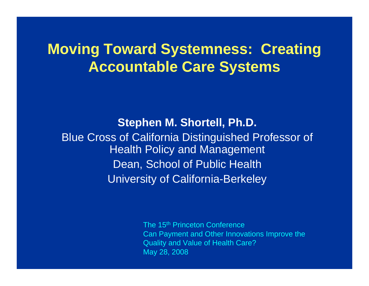## **Moving Toward Systemness: Creating Accountable Care Systems**

**Stephen M. Shortell, Ph.D.** Blue Cross of California Distinguished Professor of Health Policy and Management Dean, School of Public Health University of California-Berkeley

> The 15<sup>th</sup> Princeton Conference Can Payment and Other Innovations Improve the Quality and Value of Health Care? May 28, 2008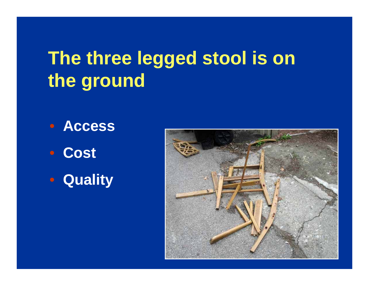# **The three legged stool is on the ground**

- **Access**
- **Cost**
- **Quality**

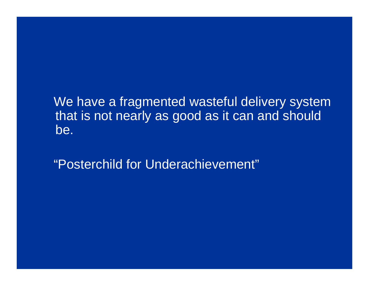We have a fragmented wasteful delivery system that is not nearly as good as it can and should be.

"Posterchild for Underachievement"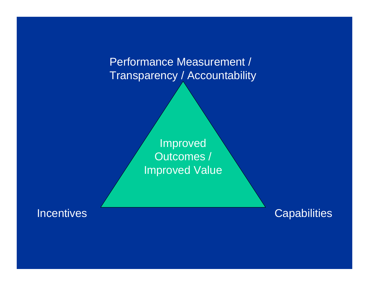Performance Measurement / Transparency / Accountability

> Improved Outcomes / Improved Value

Incentives

**Capabilities**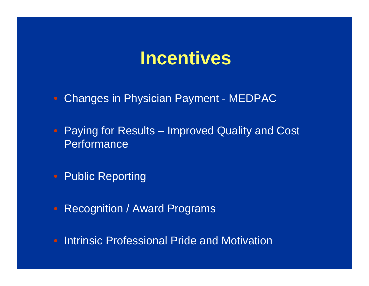# **Incentives**

- Changes in Physician Payment MEDPAC
- Paying for Results Improved Quality and Cost **Performance**
- Public Reporting
- Recognition / Award Programs
- Intrinsic Professional Pride and Motivation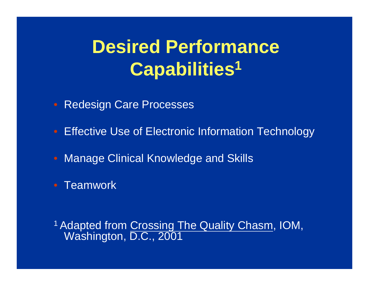# **Desired Performance Capabilities 1**

- $\bigcirc$ Redesign Care Processes
- Effective Use of Electronic Information Technology
- $\bigcirc$ Manage Clinical Knowledge and Skills
- Teamwork

<sup>1</sup> Adapted from Crossing The Quality Chasm, IOM, Washington, D.C., 2001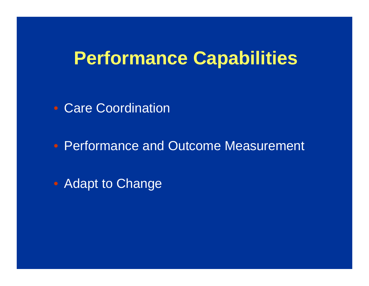# **Performance Capabilities**

• Care Coordination

• Performance and Outcome Measurement

• Adapt to Change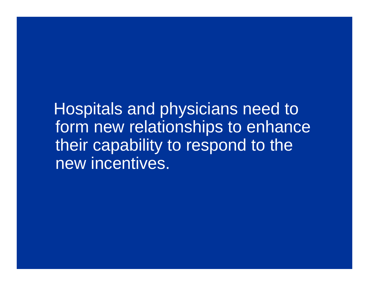Hospitals and physicians need to form new relationships to enhance their capability to respond to the new incentives.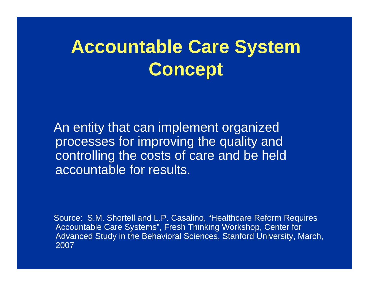# **Accountable Care System Concept**

An entity that can implement organized processes for improving the quality and controlling the costs of care and be held accountable for results.

Source: S.M. Shortell and L.P. Casalino, "Healthcare Reform Requires Accountable Care Systems", Fresh Thinking Workshop, Center for Advanced Study in the Behavioral Sciences, Stanford University, March, 2007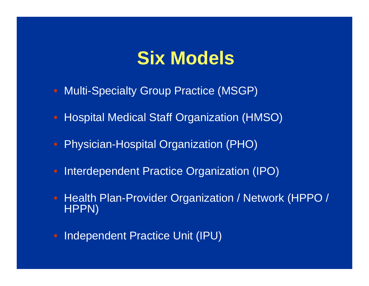# **Six Models**

- Multi-Specialty Group Practice (MSGP)
- Hospital Medical Staff Organization (HMSO)
- $\bigcirc$ Physician-Hospital Organization (PHO)
- Interdependent Practice Organization (IPO)
- Health Plan-Provider Organization / Network (HPPO / HPPN)
- $\bigcirc$ Independent Practice Unit (IPU)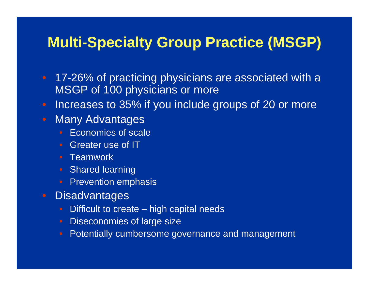### **Multi-Specialty Group Practice (MSGP)**

- 17-26% of practicing physicians are associated with a MSGP of 100 physicians or more
- Increases to 35% if you include groups of 20 or more
- Many Advantages
	- $\bigcirc$ • Economies of scale
	- Greater use of IT
	- Teamwork
	- Shared learning
	- Prevention emphasis
- **Disadvantages** 
	- Difficult to create high capital needs
	- Diseconomies of large size
	- Potentially cumbersome governance and management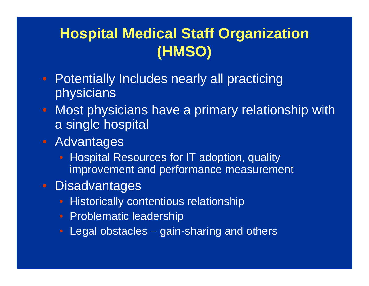# **Hospital Medical Staff Organization (HMSO)**

- Potentially Includes nearly all practicing physicians
- Most physicians have a primary relationship with a single hospital
- Advantages
	- Hospital Resources for IT adoption, quality improvement and performance measurement
- Disadvantages
	- **Historically contentious relationship**
	- Problematic leadership
	- Legal obstacles gain-sharing and others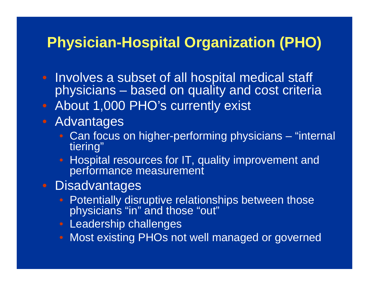### **Physician-Hospital Organization (PHO)**

- Involves a subset of all hospital medical staff physicians – based on quality and cost criteria
- About 1,000 PHO's currently exist
- Advantages
	- Can focus on higher-performing physicians "internal tiering"
	- $\bigcirc$  Hospital resources for IT, quality improvement and performance measurement

### • Disadvantages

- Potentially disruptive relationships between those physicians "in" and those "out"
- Leadership challenges
- Most existing PHOs not well managed or governed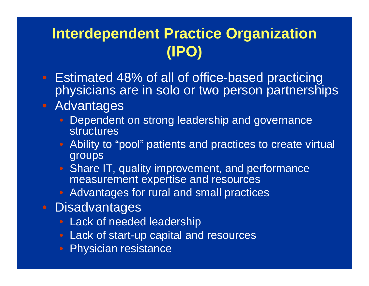# **Interdependent Practice Organization (IPO)**

- Estimated 48% of all of office-based practicing physicians are in solo or two person partnerships
- Advantages
	- Dependent on strong leadership and governance **structures**
	- $\bigcirc$  Ability to "pool" patients and practices to create virtual groups
	- Share IT, quality improvement, and performance measurement expertise and resources
	- Advantages for rural and small practices
- Disadvantages
	- Lack of needed leadership
	- Lack of start-up capital and resources
	- $\bigcirc$ Physician resistance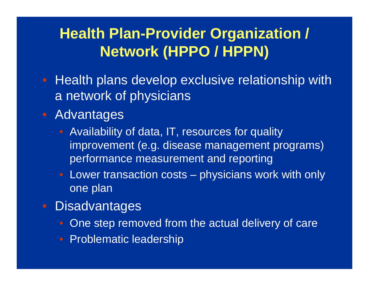# **Health Plan-Provider Organization / Network (HPPO / HPPN)**

- Health plans develop exclusive relationship with a network of physicians
- Advantages
	- Availability of data, IT, resources for quality improvement (e.g. disease management programs) performance measurement and reporting
	- Lower transaction costs physicians work with only one plan
- Disadvantages
	- One step removed from the actual delivery of care
	- Problematic leadership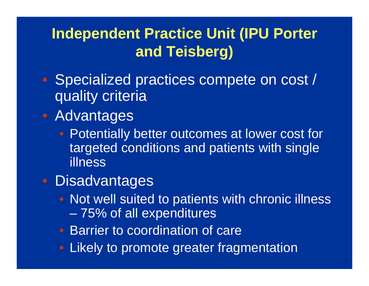## **Independent Practice Unit (IPU Porter and Teisberg)**

- Specialized practices compete on cost / quality criteria
- Advantages
	- Potentially better outcomes at lower cost for targeted conditions and patients with single illness
- Disadvantages
	- Not well suited to patients with chronic illness 75% of all expenditures
	- Barrier to coordination of care
	- Likely to promote greater fragmentation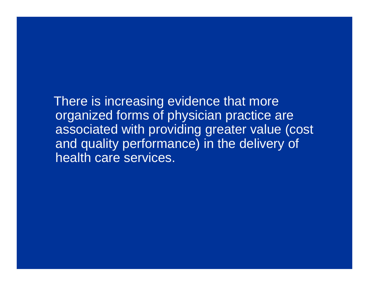There is increasing evidence that more organized forms of physician practice are associated with providing greater value (cost and quality performance) in the delivery of health care services.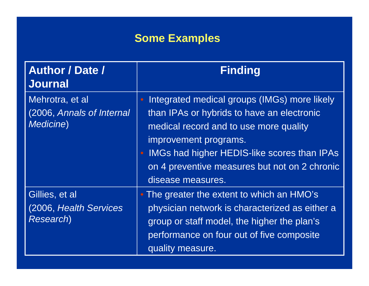### **Some Examples**

| <b>Author / Date /</b><br><b>Journal</b>                          | <b>Finding</b>                                                                                                                                                                                                                                                                                                      |
|-------------------------------------------------------------------|---------------------------------------------------------------------------------------------------------------------------------------------------------------------------------------------------------------------------------------------------------------------------------------------------------------------|
| Mehrotra, et al<br>(2006, Annals of Internal<br><b>Medicine</b> ) | Integrated medical groups (IMGs) more likely<br>$\bullet$<br>than IPAs or hybrids to have an electronic<br>medical record and to use more quality<br>improvement programs.<br><b>IMGs had higher HEDIS-like scores than IPAs</b><br>$\bullet$<br>on 4 preventive measures but not on 2 chronic<br>disease measures. |
| Gillies, et al<br>(2006, Health Services<br><b>Research</b> )     | • The greater the extent to which an HMO's<br>physician network is characterized as either a<br>group or staff model, the higher the plan's<br>performance on four out of five composite<br>quality measure.                                                                                                        |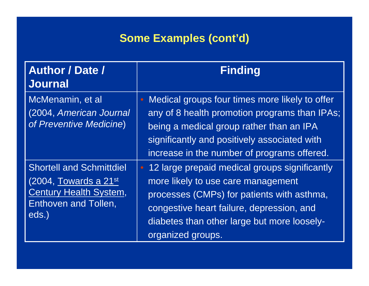### **Some Examples (cont'd)**

| <b>Author / Date /</b><br><b>Journal</b>                                                                                            | <b>Finding</b>                                                                                                                                                                                                                                                  |
|-------------------------------------------------------------------------------------------------------------------------------------|-----------------------------------------------------------------------------------------------------------------------------------------------------------------------------------------------------------------------------------------------------------------|
| McMenamin, et al<br>(2004, American Journal<br>of Preventive Medicine)                                                              | Medical groups four times more likely to offer<br>any of 8 health promotion programs than IPAs;<br>being a medical group rather than an IPA<br>significantly and positively associated with<br>increase in the number of programs offered.                      |
| <b>Shortell and Schmittdiel</b><br>$(2004,$ Towards a 21st<br><b>Century Health System,</b><br><b>Enthoven and Tollen,</b><br>eds.) | 12 large prepaid medical groups significantly<br>$\bullet$<br>more likely to use care management<br>processes (CMPs) for patients with asthma,<br>congestive heart failure, depression, and<br>diabetes than other large but more loosely-<br>organized groups. |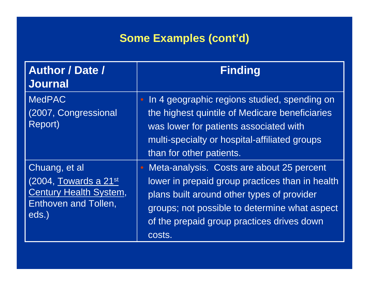### **Some Examples (cont'd)**

| <b>Author / Date /</b><br><b>Journal</b>                                                                          | <b>Finding</b>                                                                                                                                                                                                                                      |
|-------------------------------------------------------------------------------------------------------------------|-----------------------------------------------------------------------------------------------------------------------------------------------------------------------------------------------------------------------------------------------------|
| <b>MedPAC</b><br>(2007, Congressional<br>Report)                                                                  | • In 4 geographic regions studied, spending on<br>the highest quintile of Medicare beneficiaries<br>was lower for patients associated with<br>multi-specialty or hospital-affiliated groups<br>than for other patients.                             |
| Chuang, et al<br>$(2004,$ Towards a 21st<br><b>Century Health System,</b><br><b>Enthoven and Tollen,</b><br>eds.) | Meta-analysis. Costs are about 25 percent<br>lower in prepaid group practices than in health<br>plans built around other types of provider<br>groups; not possible to determine what aspect<br>of the prepaid group practices drives down<br>costs. |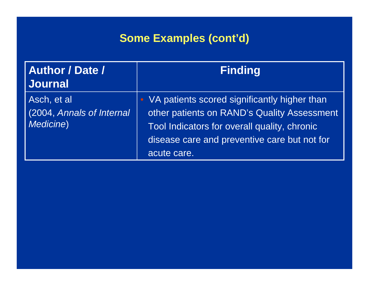### **Some Examples (cont'd)**

| <b>Author / Date /</b><br>Journal                     | <b>Finding</b>                                                                                                                                                                                                          |
|-------------------------------------------------------|-------------------------------------------------------------------------------------------------------------------------------------------------------------------------------------------------------------------------|
| Asch, et al<br>(2004, Annals of Internal<br>Medicine) | VA patients scored significantly higher than<br>$\bullet$<br>other patients on RAND's Quality Assessment<br>Tool Indicators for overall quality, chronic<br>disease care and preventive care but not for<br>acute care. |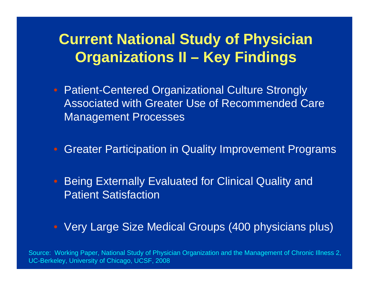## **Current National Study of Physician Organizations II – Key Findings**

- Patient-Centered Organizational Culture Strongly Associated with Greater Use of Recommended Care Management Processes
- Greater Participation in Quality Improvement Programs
- Being Externally Evaluated for Clinical Quality and Patient Satisfaction
- Very Large Size Medical Groups (400 physicians plus)

Source: Working Paper, National Study of Physician Organization and the Management of Chronic Illness 2, UC-Berkeley, University of Chicago, UCSF, 2008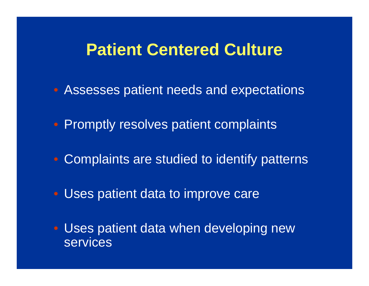## **Patient Centered Culture**

- Assesses patient needs and expectations
- Promptly resolves patient complaints
- Complaints are studied to identify patterns
- Uses patient data to improve care
- Uses patient data when developing new **services**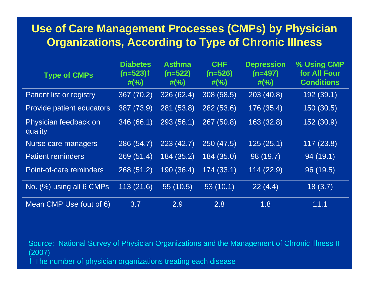#### **Use of Care Management Processes (CMPs) by Physician Organizations, According to Type of Chronic Illness**

| <b>Type of CMPs</b>              | <b>Diabetes</b><br>$(n=523)$ <sup>+</sup><br>$\#(\%)$ | <b>Asthma</b><br>$(n=522)$<br>$\#(\%)$ | <b>CHF</b><br>$(n=526)$<br>$#(^{\circ}\!\!/_{\!\!o})$ | <b>Depression</b><br>$(n=497)$<br>$\#(\%)$ | % Using CMP<br>for All Four<br><b>Conditions</b> |
|----------------------------------|-------------------------------------------------------|----------------------------------------|-------------------------------------------------------|--------------------------------------------|--------------------------------------------------|
| Patient list or registry         | 367 (70.2)                                            | 326 (62.4)                             | 308 (58.5)                                            | 203(40.8)                                  | 192 (39.1)                                       |
| Provide patient educators        | 387 (73.9)                                            | 281(53.8)                              | 282 (53.6)                                            | 176 (35.4)                                 | 150 (30.5)                                       |
| Physician feedback on<br>quality | 346 (66.1)                                            | 293 (56.1)                             | 267 (50.8)                                            | 163 (32.8)                                 | 152 (30.9)                                       |
| Nurse care managers              | 286 (54.7)                                            | 223(42.7)                              | 250 (47.5)                                            | 125(25.1)                                  | 117(23.8)                                        |
| <b>Patient reminders</b>         | 269(51.4)                                             | 184 (35.2)                             | 184 (35.0)                                            | 98 (19.7)                                  | 94 (19.1)                                        |
| Point-of-care reminders          | 268(51.2)                                             | 190 (36.4)                             | 174(33.1)                                             | 114(22.9)                                  | 96 (19.5)                                        |
| No. (%) using all 6 CMPs         | 113(21.6)                                             | 55 (10.5)                              | 53(10.1)                                              | 22(4.4)                                    | 18(3.7)                                          |
| Mean CMP Use (out of 6)          | 3.7                                                   | 2.9                                    | 2.8                                                   | 1.8                                        | 11.1                                             |

Source: National Survey of Physician Organizations and the Management of Chronic Illness II (2007) † The number of physician organizations treating each disease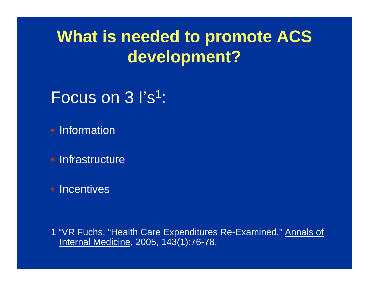# **What is needed to promote ACS development?**

# Focus on 3 I's 1:

• Information

• Infrastructure

• Incentives

1 "VR Fuchs, "Health Care Expenditures Re-Examined," Annals of Internal Medicine, 2005, 143(1):76-78.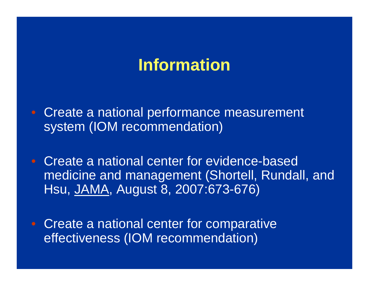# **Information**

- Create a national performance measurement system (IOM recommendation)
- Create a national center for evidence-based medicine and management (Shortell, Rundall, and Hsu, JAMA, August 8, 2007:673-676)
- Create a national center for comparative effectiveness (IOM recommendation)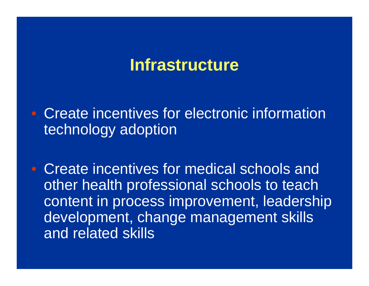# **Infrastructure**

• Create incentives for electronic information technology adoption

• Create incentives for medical schools and other health professional schools to teach content in process improvement, leadership development, change management skills and related skills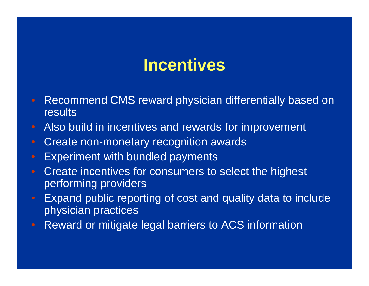# **Incentives**

- Recommend CMS reward physician differentially based on results
- Also build in incentives and rewards for improvement
- Create non-monetary recognition awards
- Experiment with bundled payments
- Create incentives for consumers to select the highest performing providers
- Expand public reporting of cost and quality data to include physician practices
- Reward or mitigate legal barriers to ACS information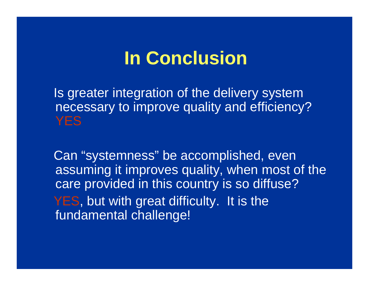# **In Conclusion**

Is greater integration of the delivery system necessary to improve quality and efficiency? **YFS** 

Can "systemness" be accomplished, even assuming it improves quality, when most of the care provided in this country is so diffuse? YES, but with great difficulty. It is the fundamental challenge!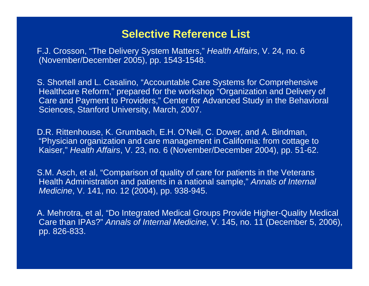#### **Selective Reference List**

F.J. Crosson, "The Delivery System Matters," *Health Affairs*, V. 24, no. 6 (November/December 2005), pp. 1543-1548.

S. Shortell and L. Casalino, "Accountable Care Systems for Comprehensive Healthcare Reform," prepared for the workshop "Organization and Delivery of Care and Payment to Providers," Center for Advanced Study in the Behavioral Sciences, Stanford University, March, 2007.

D.R. Rittenhouse, K. Grumbach, E.H. O'Neil, C. Dower, and A. Bindman, "Physician organization and care management in California: from cottage to Kaiser," *Health Affairs*, V. 23, no. 6 (November/December 2004), pp. 51-62.

S.M. Asch, et al, "Comparison of quality of care for patients in the Veterans Health Administration and patients in a national sample," *Annals of Internal Medicine*, V. 141, no. 12 (2004), pp. 938-945.

A. Mehrotra, et al, "Do Integrated Medical Groups Provide Higher-Quality Medical Care than IPAs?" *Annals of Internal Medicine*, V. 145, no. 11 (December 5, 2006), pp. 826-833.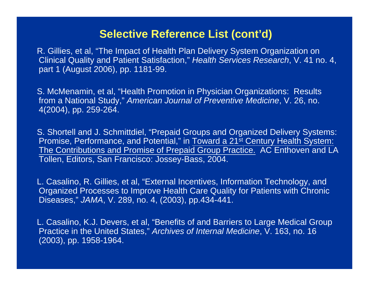#### **Selective Reference List (cont'd)**

R. Gillies, et al, "The Impact of Health Plan Delivery System Organization on Clinical Quality and Patient Satisfaction," *Health Services Research*, V. 41 no. 4, part 1 (August 2006), pp. 1181-99.

S. McMenamin, et al, "Health Promotion in Physician Organizations: Results from a National Study," *American Journal of Preventive Medicine*, V. 26, no. 4(2004), pp. 259-264.

S. Shortell and J. Schmittdiel, "Prepaid Groups and Organized Delivery Systems: Promise, Performance, and Potential," in Toward a 21<sup>st</sup> Century Health System: The Contributions and Promise of Prepaid Group Practice. AC Enthoven and LA Tollen, Editors, San Francisco: Jossey-Bass, 2004.

L. Casalino, R. Gillies, et al, "External Incentives, Information Technology, and Organized Processes to Improve Health Care Quality for Patients with Chronic Diseases," *JAMA*, V. 289, no. 4, (2003), pp.434-441.

L. Casalino, K.J. Devers, et al, "Benefits of and Barriers to Large Medical Group Practice in the United States," *Archives of Internal Medicine*, V. 163, no. 16 (2003), pp. 1958-1964.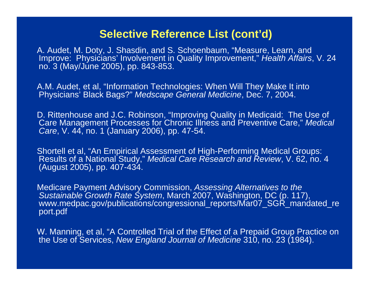#### **Selective Reference List (cont'd)**

A. Audet, M. Doty, J. Shasdin, and S. Schoenbaum, "Measure, Learn, and Improve: Physicians' Involvement in Quality Improvement," *Health Affairs*, V. 24 no. 3 (May/June 2005), pp. 843-853.

A.M. Audet, et al, "Information Technologies: When Will They Make It into Physicians' Black Bags?" *Medscape General Medicine*, Dec. 7, 2004.

D. Rittenhouse and J.C. Robinson, "Improving Quality in Medicaid: The Use of Care Management Processes for Chronic Illness and Preventive Care," *Medical Care*, V. 44, no. 1 (January 2006), pp. 47-54.

Shortell et al, "An Empirical Assessment of High-Performing Medical Groups: Results of a National Study," *Medical Care Research and Review*, V. 62, no. 4 (August 2005), pp. 407-434.

Medicare Payment Advisory Commission, *Assessing Alternatives to the Sustainable Growth Rate System*, March 2007, Washington, DC (p. 117), www.medpac.gov/publications/congressional\_reports/Mar07\_SGR\_mandated\_re port.pdf

W. Manning, et al, "A Controlled Trial of the Effect of a Prepaid Group Practice on the Use of Services, *New England Journal of Medicine* 310, no. 23 (1984).